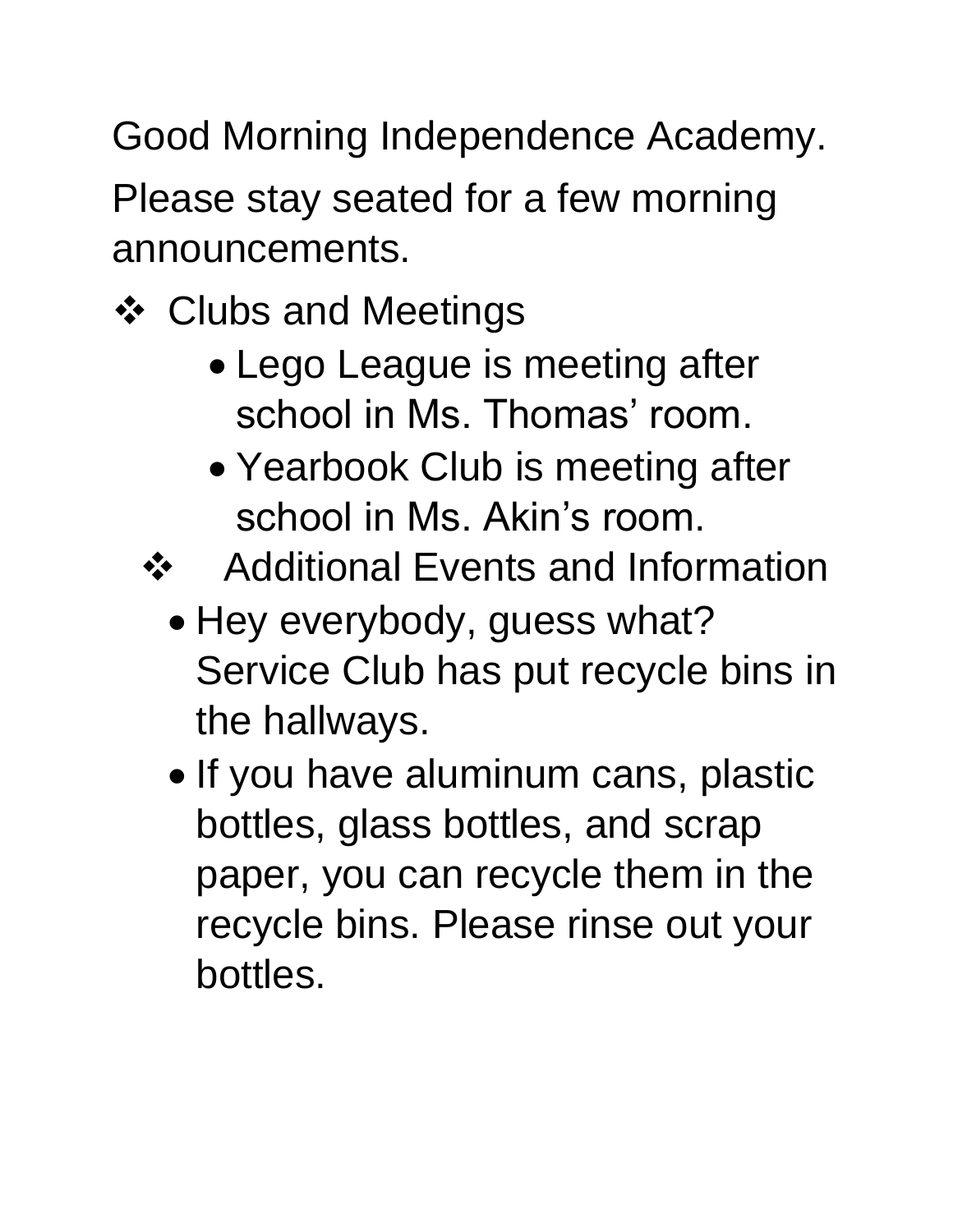Good Morning Independence Academy.

Please stay seated for a few morning announcements.

- Clubs and Meetings
	- Lego League is meeting after school in Ms. Thomas' room.
	- Yearbook Club is meeting after school in Ms. Akin's room.

❖ Additional Events and Information

- Hey everybody, guess what? Service Club has put recycle bins in the hallways.
- If you have aluminum cans, plastic bottles, glass bottles, and scrap paper, you can recycle them in the recycle bins. Please rinse out your bottles.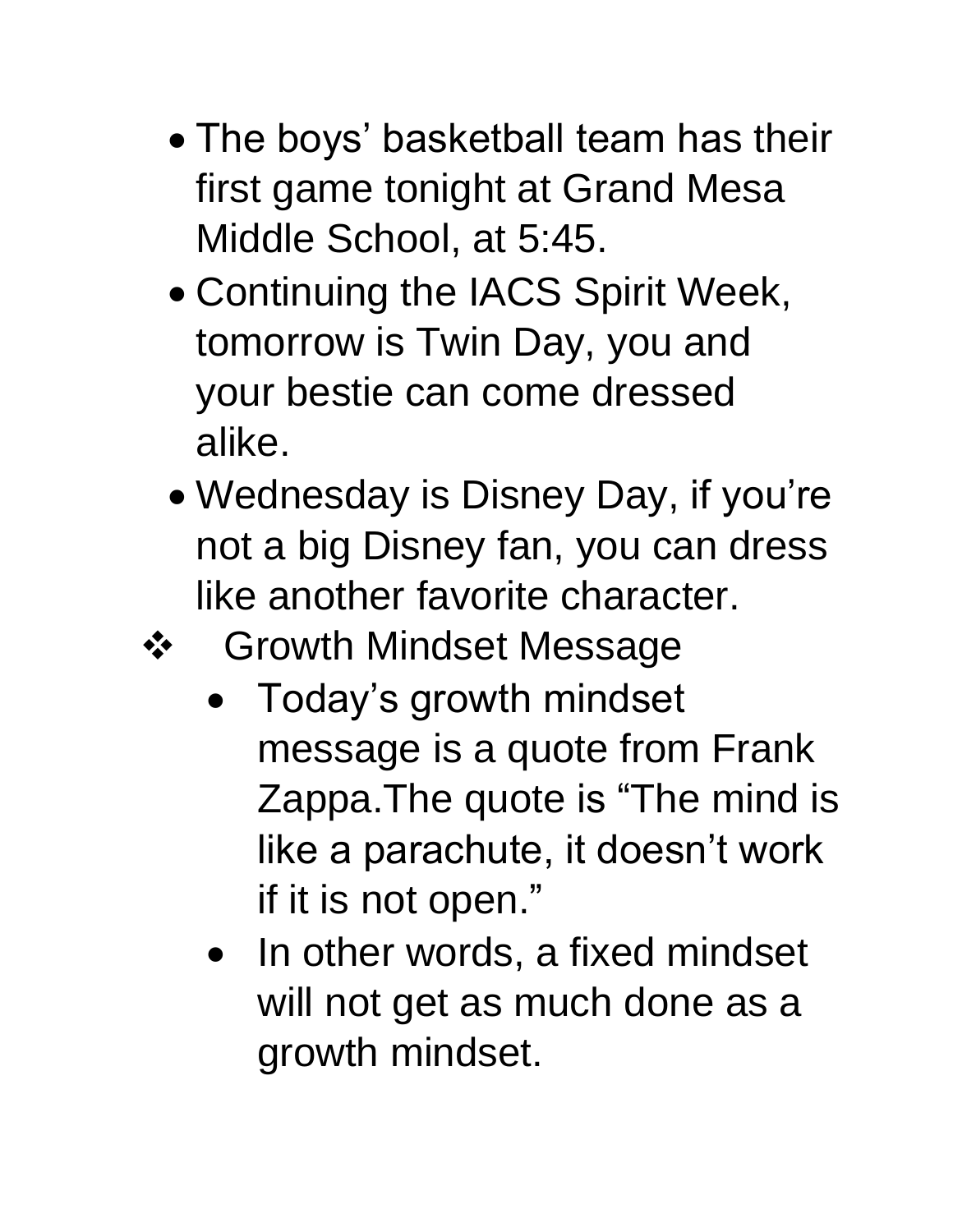- The boys' basketball team has their first game tonight at Grand Mesa Middle School, at 5:45.
- Continuing the IACS Spirit Week, tomorrow is Twin Day, you and your bestie can come dressed alike.
- Wednesday is Disney Day, if you're not a big Disney fan, you can dress like another favorite character.
- **❖** Growth Mindset Message
	- Today's growth mindset message is a quote from Frank Zappa.The quote is "The mind is like a parachute, it doesn't work if it is not open."
	- In other words, a fixed mindset will not get as much done as a growth mindset.